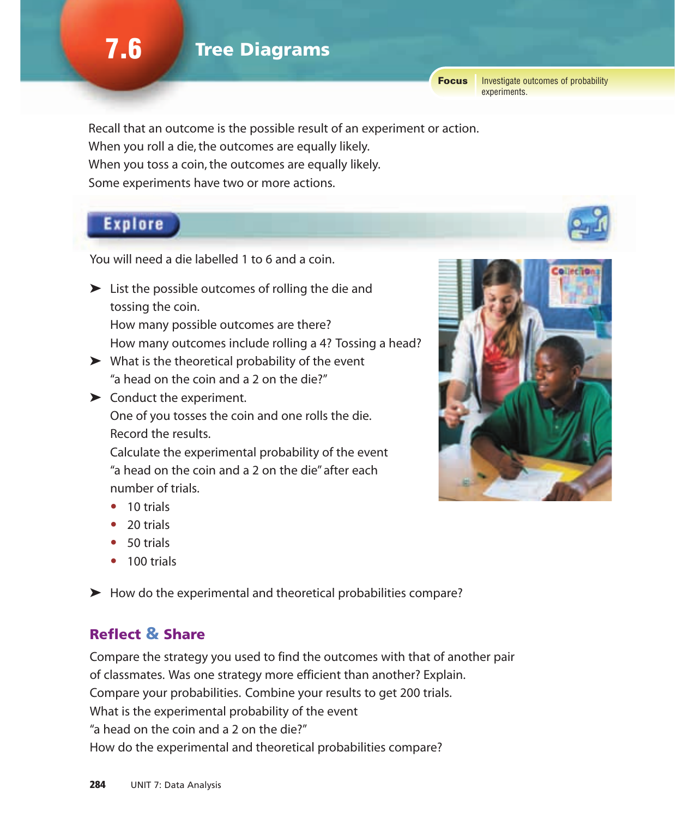Focus Investigate outcomes of probability experiments.

Recall that an outcome is the possible result of an experiment or action. When you roll a die, the outcomes are equally likely. When you toss a coin, the outcomes are equally likely. Some experiments have two or more actions.

### **Explore**

You will need a die labelled 1 to 6 and a coin.

➤ List the possible outcomes of rolling the die and tossing the coin.

How many possible outcomes are there? How many outcomes include rolling a 4? Tossing a head?

- $\triangleright$  What is the theoretical probability of the event "a head on the coin and a 2 on the die?"
- ➤ Conduct the experiment. One of you tosses the coin and one rolls the die. Record the results.

Calculate the experimental probability of the event "a head on the coin and a 2 on the die" after each number of trials.

- 10 trials
- 20 trials
- 50 trials
- 100 trials

➤ How do the experimental and theoretical probabilities compare?

#### Reflect & Share

Compare the strategy you used to find the outcomes with that of another pair of classmates. Was one strategy more efficient than another? Explain. Compare your probabilities. Combine your results to get 200 trials. What is the experimental probability of the event "a head on the coin and a 2 on the die?" How do the experimental and theoretical probabilities compare?

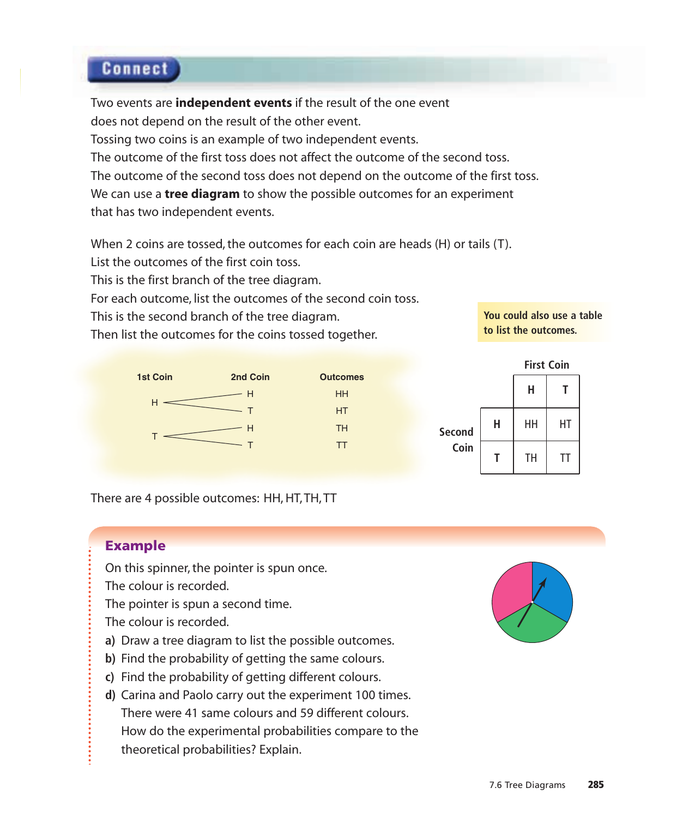## **Connect**

Two events are **independent events** if the result of the one event does not depend on the result of the other event. Tossing two coins is an example of two independent events. The outcome of the first toss does not affect the outcome of the second toss. The outcome of the second toss does not depend on the outcome of the first toss. We can use a **tree diagram** to show the possible outcomes for an experiment that has two independent events.

When 2 coins are tossed, the outcomes for each coin are heads (H) or tails (T).

HT TH TT

List the outcomes of the first coin toss.

This is the first branch of the tree diagram.

For each outcome, list the outcomes of the second coin toss.

This is the second branch of the tree diagram.

Then list the outcomes for the coins tossed together.



**You could also use a table to list the outcomes.**



There are 4 possible outcomes: HH, HT, TH, TT

#### Example

On this spinner, the pointer is spun once.

The colour is recorded.

The pointer is spun a second time.

The colour is recorded.

- **a)** Draw a tree diagram to list the possible outcomes.
- **b)** Find the probability of getting the same colours.
- **c)** Find the probability of getting different colours.
- **d)** Carina and Paolo carry out the experiment 100 times. There were 41 same colours and 59 different colours. How do the experimental probabilities compare to the theoretical probabilities? Explain.

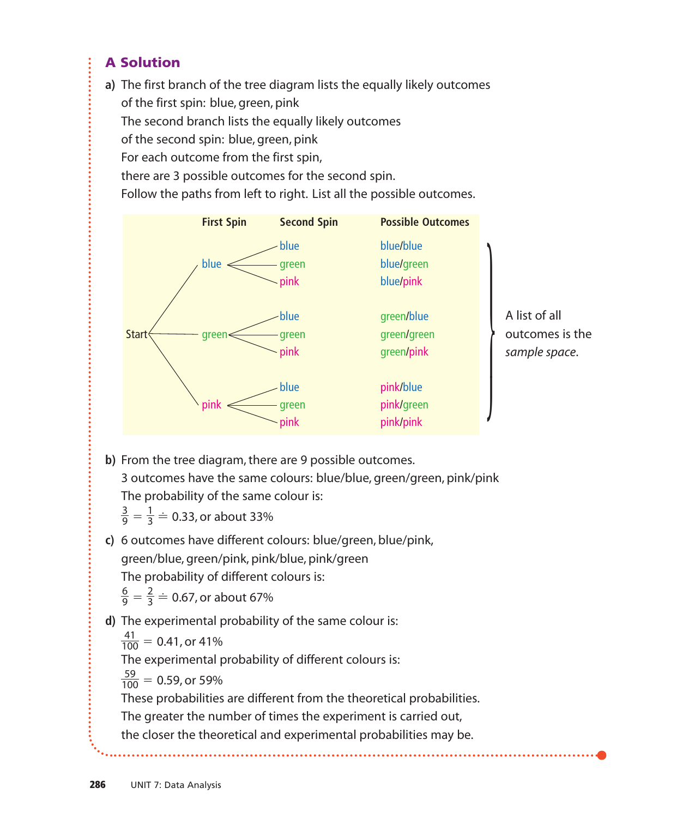### A Solution

**a)** The first branch of the tree diagram lists the equally likely outcomes of the first spin: blue, green, pink The second branch lists the equally likely outcomes of the second spin: blue, green, pink For each outcome from the first spin, there are 3 possible outcomes for the second spin.

Follow the paths from left to right. List all the possible outcomes.



**b)** From the tree diagram, there are 9 possible outcomes. 3 outcomes have the same colours: blue/blue, green/green, pink/pink The probability of the same colour is:

 $=\frac{1}{3} \doteq 0.33$ , or about 33% 3 3 9

**c)** 6 outcomes have different colours: blue/green, blue/pink,

green/blue, green/pink, pink/blue, pink/green

The probability of different colours is:

$$
\frac{6}{9} = \frac{2}{3} \doteq 0.67
$$
, or about 67%

**d)** The experimental probability of the same colour is:

 $\frac{41}{100}$  = 0.41, or 41% 100

The experimental probability of different colours is:

 $\frac{59}{100}$  = 0.59, or 59% 100

These probabilities are different from the theoretical probabilities.

The greater the number of times the experiment is carried out,

the closer the theoretical and experimental probabilities may be.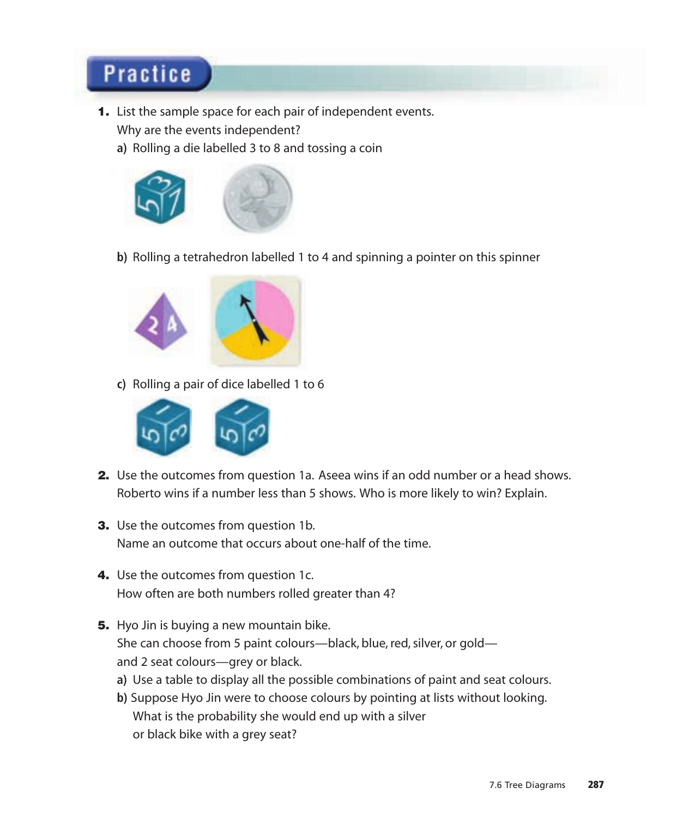# **Practice**

- 1. List the sample space for each pair of independent events. Why are the events independent?
	- **a)** Rolling a die labelled 3 to 8 and tossing a coin



**b)** Rolling a tetrahedron labelled 1 to 4 and spinning a pointer on this spinner



**c)** Rolling a pair of dice labelled 1 to 6



- 2. Use the outcomes from question 1a. Aseea wins if an odd number or a head shows. Roberto wins if a number less than 5 shows. Who is more likely to win? Explain.
- **3.** Use the outcomes from question 1b. Name an outcome that occurs about one-half of the time.
- 4. Use the outcomes from question 1c. How often are both numbers rolled greater than 4?
- **5.** Hyo Jin is buying a new mountain bike. She can choose from 5 paint colours—black, blue, red, silver, or gold and 2 seat colours—grey or black.
	- **a)** Use a table to display all the possible combinations of paint and seat colours.
	- **b)** Suppose Hyo Jin were to choose colours by pointing at lists without looking. What is the probability she would end up with a silver or black bike with a grey seat?